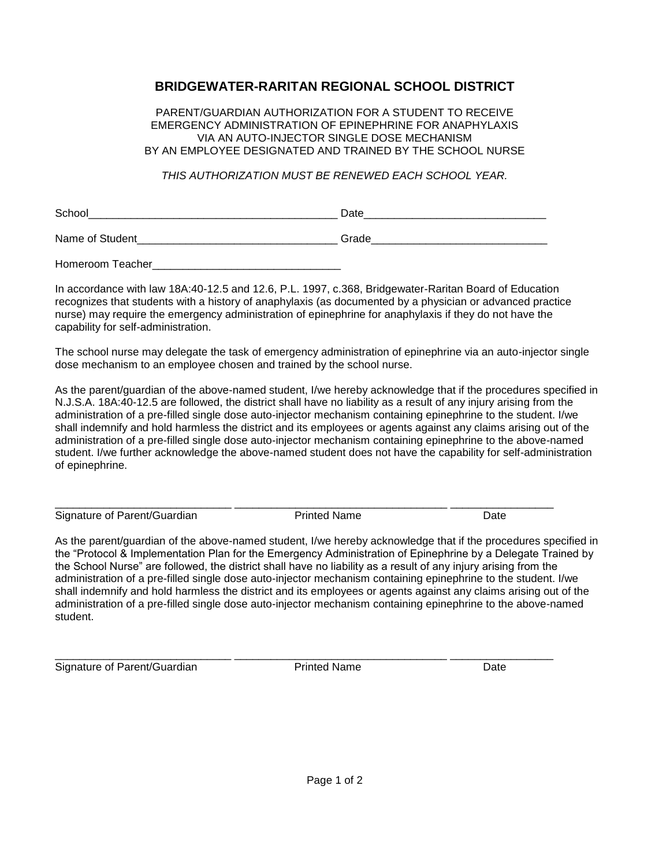## **BRIDGEWATER-RARITAN REGIONAL SCHOOL DISTRICT**

PARENT/GUARDIAN AUTHORIZATION FOR A STUDENT TO RECEIVE EMERGENCY ADMINISTRATION OF EPINEPHRINE FOR ANAPHYLAXIS VIA AN AUTO-INJECTOR SINGLE DOSE MECHANISM BY AN EMPLOYEE DESIGNATED AND TRAINED BY THE SCHOOL NURSE

*THIS AUTHORIZATION MUST BE RENEWED EACH SCHOOL YEAR.*

| ∽<br>- |  |
|--------|--|
|        |  |

Name of Student the control of the control of the control of Grade control of the control of the control of the control of the control of the control of the control of the control of the control of the control of the contr

Homeroom Teacher

In accordance with law 18A:40-12.5 and 12.6, P.L. 1997, c.368, Bridgewater-Raritan Board of Education recognizes that students with a history of anaphylaxis (as documented by a physician or advanced practice nurse) may require the emergency administration of epinephrine for anaphylaxis if they do not have the capability for self-administration.

The school nurse may delegate the task of emergency administration of epinephrine via an auto-injector single dose mechanism to an employee chosen and trained by the school nurse.

As the parent/guardian of the above-named student, I/we hereby acknowledge that if the procedures specified in N.J.S.A. 18A:40-12.5 are followed, the district shall have no liability as a result of any injury arising from the administration of a pre-filled single dose auto-injector mechanism containing epinephrine to the student. I/we shall indemnify and hold harmless the district and its employees or agents against any claims arising out of the administration of a pre-filled single dose auto-injector mechanism containing epinephrine to the above-named student. I/we further acknowledge the above-named student does not have the capability for self-administration of epinephrine.

Signature of Parent/Guardian **Printed Name** Printed Name Date

\_\_\_\_\_\_\_\_\_\_\_\_\_\_\_\_\_\_\_\_\_\_\_\_\_\_\_\_\_ \_\_\_\_\_\_\_\_\_\_\_\_\_\_\_\_\_\_\_\_\_\_\_\_\_\_\_\_\_\_\_\_\_\_\_ \_\_\_\_\_\_\_\_\_\_\_\_\_\_\_\_\_

As the parent/guardian of the above-named student, I/we hereby acknowledge that if the procedures specified in the "Protocol & Implementation Plan for the Emergency Administration of Epinephrine by a Delegate Trained by the School Nurse" are followed, the district shall have no liability as a result of any injury arising from the administration of a pre-filled single dose auto-injector mechanism containing epinephrine to the student. I/we shall indemnify and hold harmless the district and its employees or agents against any claims arising out of the administration of a pre-filled single dose auto-injector mechanism containing epinephrine to the above-named student.

\_\_\_\_\_\_\_\_\_\_\_\_\_\_\_\_\_\_\_\_\_\_\_\_\_\_\_\_\_ \_\_\_\_\_\_\_\_\_\_\_\_\_\_\_\_\_\_\_\_\_\_\_\_\_\_\_\_\_\_\_\_\_\_\_ \_\_\_\_\_\_\_\_\_\_\_\_\_\_\_\_\_ Signature of Parent/Guardian **Printed Name** Printed Name Date